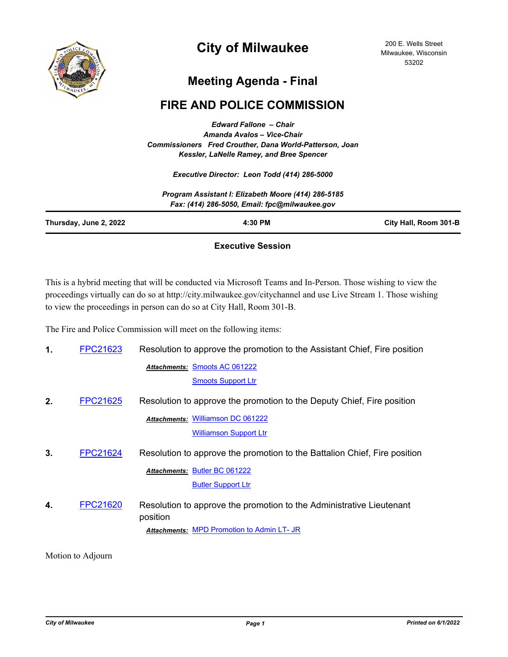

## **City of Milwaukee**

## **Meeting Agenda - Final**

## **FIRE AND POLICE COMMISSION**

*Edward Fallone – Chair Amanda Avalos – Vice-Chair Commissioners Fred Crouther, Dana World-Patterson, Joan Kessler, LaNelle Ramey, and Bree Spencer*

*Executive Director: Leon Todd (414) 286-5000*

|                        | Program Assistant I: Elizabeth Moore (414) 286-5185<br>Fax: (414) 286-5050, Email: fpc@milwaukee.gov |                       |
|------------------------|------------------------------------------------------------------------------------------------------|-----------------------|
| Thursday, June 2, 2022 | 4:30 PM                                                                                              | City Hall, Room 301-B |
|                        |                                                                                                      |                       |

## **Executive Session**

This is a hybrid meeting that will be conducted via Microsoft Teams and In-Person. Those wishing to view the proceedings virtually can do so at http://city.milwaukee.gov/citychannel and use Live Stream 1. Those wishing to view the proceedings in person can do so at City Hall, Room 301-B.

The Fire and Police Commission will meet on the following items:

| 1. | FPC21623        | Resolution to approve the promotion to the Assistant Chief, Fire position        |  |
|----|-----------------|----------------------------------------------------------------------------------|--|
|    |                 | Attachments: Smoots AC 061222                                                    |  |
|    |                 | <b>Smoots Support Ltr</b>                                                        |  |
| 2. | <b>FPC21625</b> | Resolution to approve the promotion to the Deputy Chief, Fire position           |  |
|    |                 | <b>Attachments: Williamson DC 061222</b>                                         |  |
|    |                 | <b>Williamson Support Ltr</b>                                                    |  |
| 3. | <b>FPC21624</b> | Resolution to approve the promotion to the Battalion Chief, Fire position        |  |
|    |                 | Attachments: Butler BC 061222                                                    |  |
|    |                 | <b>Butler Support Ltr</b>                                                        |  |
| 4. | FPC21620        | Resolution to approve the promotion to the Administrative Lieutenant<br>position |  |
|    |                 | <b>Attachments: MPD Promotion to Admin LT- JR</b>                                |  |

Motion to Adjourn